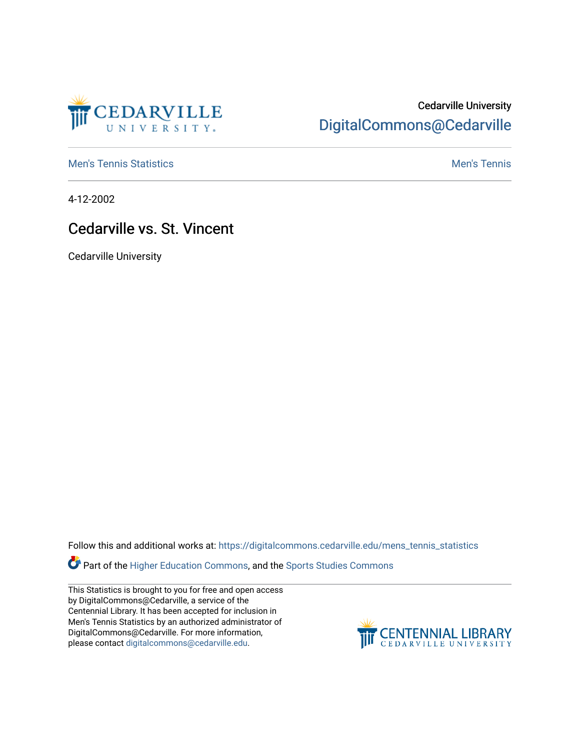

## Cedarville University [DigitalCommons@Cedarville](https://digitalcommons.cedarville.edu/)

**[Men's Tennis Statistics](https://digitalcommons.cedarville.edu/mens_tennis_statistics) Mental According to the Control of Control According Mental Men's Tennis** 

4-12-2002

## Cedarville vs. St. Vincent

Cedarville University

Follow this and additional works at: [https://digitalcommons.cedarville.edu/mens\\_tennis\\_statistics](https://digitalcommons.cedarville.edu/mens_tennis_statistics?utm_source=digitalcommons.cedarville.edu%2Fmens_tennis_statistics%2F1&utm_medium=PDF&utm_campaign=PDFCoverPages)

Part of the [Higher Education Commons,](http://network.bepress.com/hgg/discipline/1245?utm_source=digitalcommons.cedarville.edu%2Fmens_tennis_statistics%2F1&utm_medium=PDF&utm_campaign=PDFCoverPages) and the [Sports Studies Commons](http://network.bepress.com/hgg/discipline/1198?utm_source=digitalcommons.cedarville.edu%2Fmens_tennis_statistics%2F1&utm_medium=PDF&utm_campaign=PDFCoverPages) 

This Statistics is brought to you for free and open access by DigitalCommons@Cedarville, a service of the Centennial Library. It has been accepted for inclusion in Men's Tennis Statistics by an authorized administrator of DigitalCommons@Cedarville. For more information, please contact [digitalcommons@cedarville.edu](mailto:digitalcommons@cedarville.edu).